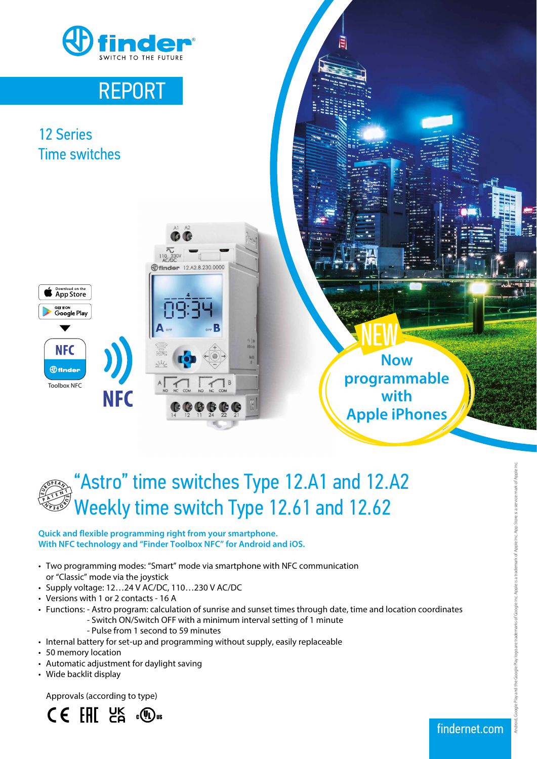

## REPORT

### 12 Series Time switches





**Now programmable with Apple iPhones**

# "Astro" time switches Type 12.A1 and 12.A2 Weekly time switch Type 12.61 and 12.62 Toolbox NFC<br> **ASTO" times**<br> **ASTO" times**<br>
Weekly time<br>
with NFC technology and "Find<br>
Two programming modes: "Si<br>
or "Classic" mode via the joyst<br>
Supply voltage: 12...24 V AC/<br>
Versions with 1 or 2 contacts<br>
Functions: -ESP<br>" PE <u>A</u> <sup>P</sup> A TEN<sup>T</sup>

#### **Quick and flexible programming right from your smartphone. With NFC technology and "Finder Toolbox NFC" for Android and iOS.**

- Two programming modes: "Smart" mode via smartphone with NFC communication or "Classic" mode via the joystick
- Supply voltage: 12…24 V AC/DC, 110…230 V AC/DC
- Versions with 1 or 2 contacts 16 A
- Functions: Astro program: calculation of sunrise and sunset times through date, time and location coordinates
	- Switch ON/Switch OFF with a minimum interval setting of 1 minute
	- Pulse from 1 second to 59 minutes
- Internal battery for set-up and programming without supply, easily replaceable
- 50 memory location
- Automatic adjustment for daylight saving
- Wide backlit display



Android, Google Play and the Google Play logo are trademarks of Google Inc. Apple is a trademark of Apple Inc. App Store is a service mark of Apple Inc. lay and the Google Play logo are trademarks of Google Inc. Apple is a trademark of Apple Inc. App Store is a service mark of Apple Inc.

findernet.com